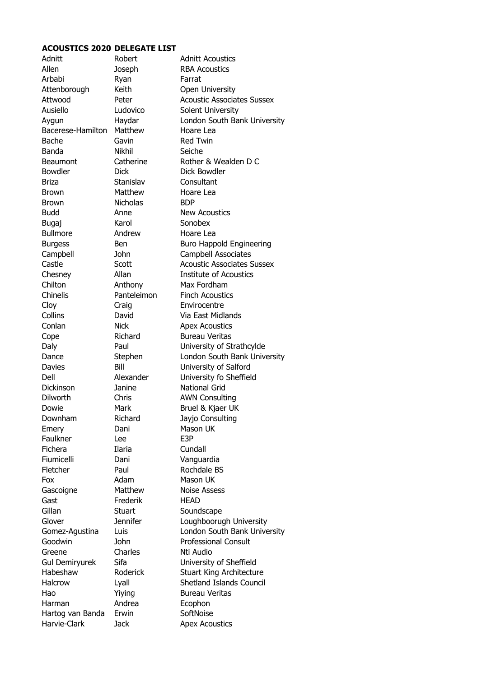## **ACOUSTICS 2020 DELEGATE LIST**

| Adnitt                           | Robert          | <b>Adnitt Acoustics</b>           |
|----------------------------------|-----------------|-----------------------------------|
| Allen                            | Joseph          | <b>RBA Acoustics</b>              |
| Arbabi                           | Ryan            | Farrat                            |
| Attenborough                     | Keith           | Open University                   |
| Attwood                          | Peter           | <b>Acoustic Associates Sussex</b> |
| Ausiello                         | Ludovico        | Solent University                 |
| Aygun                            | Haydar          | London South Bank University      |
| Bacerese-Hamilton                | Matthew         | Hoare Lea                         |
| Bache                            | Gavin           | <b>Red Twin</b>                   |
| Banda                            | Nikhil          | Seiche                            |
| <b>Beaumont</b>                  | Catherine       | Rother & Wealden D C              |
| Bowdler                          | <b>Dick</b>     | Dick Bowdler                      |
| <b>Briza</b>                     | Stanislav       | Consultant                        |
| Brown                            | Matthew         | Hoare Lea                         |
| <b>Brown</b>                     | <b>Nicholas</b> | <b>BDP</b>                        |
| <b>Budd</b>                      | Anne            | <b>New Acoustics</b>              |
| Bugaj                            | Karol           | Sonobex                           |
| <b>Bullmore</b>                  | Andrew          | Hoare Lea                         |
| <b>Burgess</b>                   | <b>Ben</b>      | <b>Buro Happold Engineering</b>   |
| Campbell                         | John            | <b>Campbell Associates</b>        |
| Castle                           | Scott           | <b>Acoustic Associates Sussex</b> |
| Chesney                          | Allan           | <b>Institute of Acoustics</b>     |
| Chilton                          | Anthony         | Max Fordham                       |
| Chinelis                         | Panteleimon     | <b>Finch Acoustics</b>            |
| Cloy                             | Craig           | Envirocentre                      |
| Collins                          | David           | Via East Midlands                 |
| Conlan                           | <b>Nick</b>     | <b>Apex Acoustics</b>             |
| Cope                             | Richard         | <b>Bureau Veritas</b>             |
| Daly                             | Paul            | University of Strathcylde         |
| Dance                            | Stephen         | London South Bank University      |
| Davies                           | Bill            | University of Salford             |
| Dell                             | Alexander       | University fo Sheffield           |
| <b>Dickinson</b>                 | Janine          | <b>National Grid</b>              |
| Dilworth                         | Chris           | <b>AWN Consulting</b>             |
| Dowie                            | Mark            | Bruel & Kjaer UK                  |
| Downham                          | Richard         | Jayjo Consulting                  |
| Emery                            | Dani            | Mason UK                          |
| Faulkner                         | Lee             | E3P                               |
| Fichera                          | Ilaria          | Cundall                           |
| Fiumicelli                       | Dani            | Vanguardia                        |
| Fletcher                         | Paul            | Rochdale BS                       |
| Fox                              | Adam            | Mason UK                          |
| Gascoigne                        | Matthew         | <b>Noise Assess</b>               |
| Gast                             | Frederik        | HEAD                              |
| Gillan                           | <b>Stuart</b>   | Soundscape                        |
| Glover                           | <b>Jennifer</b> | Loughboorugh University           |
| Gomez-Agustina                   | Luis            | London South Bank University      |
| Goodwin                          | John            | <b>Professional Consult</b>       |
| Greene                           | Charles         | Nti Audio                         |
| <b>Gul Demiryurek</b>            | Sifa            | University of Sheffield           |
| Habeshaw                         | Roderick        | <b>Stuart King Architecture</b>   |
| Halcrow                          |                 | Shetland Islands Council          |
| Hao                              | Lyall<br>Yiying | <b>Bureau Veritas</b>             |
| Harman                           | Andrea          |                                   |
|                                  | Erwin           | Ecophon<br>SoftNoise              |
| Hartog van Banda<br>Harvie-Clark |                 |                                   |
|                                  | <b>Jack</b>     | <b>Apex Acoustics</b>             |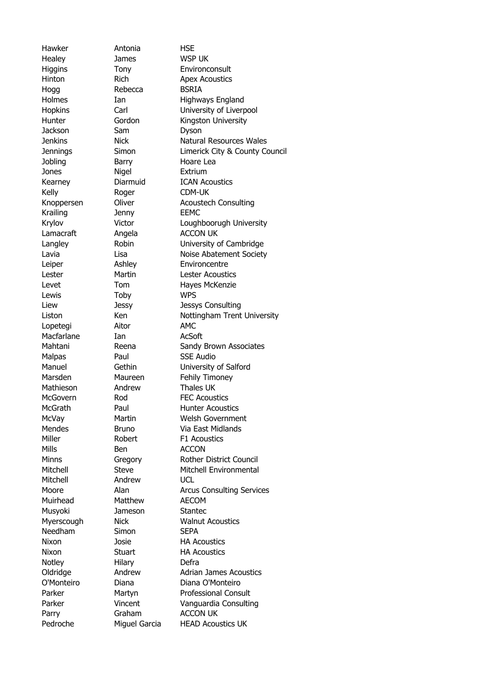Healey James WSP UK Hogg Rebecca BSRIA Jackson Sam Dyson Jones Nigel Extrium Kelly Roger CDM-UK Krailing Jenny EEMC Lewis Toby WPS Lopetegi Aitor AMC Macfarlane Ian AcSoft Mills Ben ACCON Mitchell Andrew UCL Muirhead Matthew AECOM Musyoki Jameson Stantec Needham Simon SEPA Notley Hilary Defra

Hawker Antonia HSE

Higgins Tony Environconsult Hinton **Rich Apex Acoustics** Holmes Ian Highways England Hopkins Carl University of Liverpool Hunter **Gordon** Kingston University Jenkins Nick Natural Resources Wales Jennings Simon Limerick City & County Council Jobling Barry Hoare Lea Kearney Diarmuid ICAN Acoustics Knoppersen Oliver Acoustech Consulting Krylov Victor Loughboorugh University Lamacraft Angela ACCON UK Langley Robin University of Cambridge Lavia Lisa Noise Abatement Society Leiper **Ashley** Environcentre Lester Martin Lester Acoustics Levet Tom Hayes McKenzie Liew Jessy Jessys Consulting Liston Ken Nottingham Trent University Mahtani Reena Sandy Brown Associates Malpas Paul SSE Audio Manuel Gethin University of Salford Marsden Maureen Fehily Timoney Mathieson Andrew Thales UK McGovern Rod FEC Acoustics McGrath Paul Hunter Acoustics McVay Martin Welsh Government Mendes Bruno Via East Midlands Miller Robert F1 Acoustics Minns Gregory Rother District Council Mitchell Steve Mitchell Environmental Moore **Alan** Arcus Consulting Services Myerscough Nick Walnut Acoustics Nixon Josie HA Acoustics Nixon Stuart HA Acoustics Oldridge **Andrew** Adrian James Acoustics O'Monteiro Diana Diana O'Monteiro Parker Martyn Professional Consult Parker **Vincent** Vanguardia Consulting Parry Graham ACCON UK Pedroche Miguel Garcia HEAD Acoustics UK